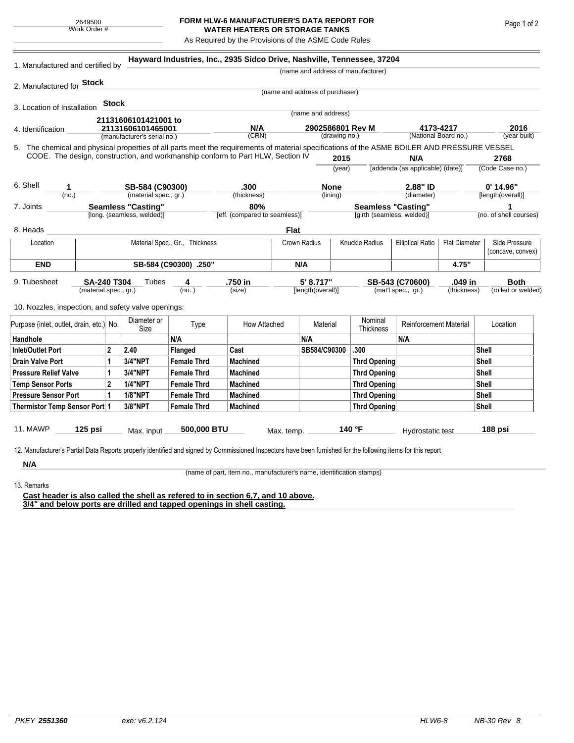## **FORM HLW-6 MANUFACTURER'S DATA REPORT FOR WATER HEATERS OR STORAGE TANKS**

As Required by the Provisions of the ASME Code Rules

| 1. Manufactured and certified by                                                                                                                              |                                             |            |                                                  | Hayward Industries, Inc., 2935 Sidco Drive, Nashville, Tennessee, 37204 |                               |                                 |                                |        |                                    |                                       |                        |                                    |  |
|---------------------------------------------------------------------------------------------------------------------------------------------------------------|---------------------------------------------|------------|--------------------------------------------------|-------------------------------------------------------------------------|-------------------------------|---------------------------------|--------------------------------|--------|------------------------------------|---------------------------------------|------------------------|------------------------------------|--|
|                                                                                                                                                               |                                             |            |                                                  |                                                                         |                               |                                 |                                |        | (name and address of manufacturer) |                                       |                        |                                    |  |
| 2. Manufactured for Stock                                                                                                                                     |                                             |            |                                                  |                                                                         |                               | (name and address of purchaser) |                                |        |                                    |                                       |                        |                                    |  |
|                                                                                                                                                               |                                             | Stock      |                                                  |                                                                         |                               |                                 |                                |        |                                    |                                       |                        |                                    |  |
| 3. Location of Installation                                                                                                                                   |                                             |            |                                                  |                                                                         |                               |                                 | (name and address)             |        |                                    |                                       |                        |                                    |  |
| 21131606101421001 to                                                                                                                                          |                                             |            |                                                  |                                                                         | N/A                           | 2902586801 Rev M                |                                |        |                                    |                                       | 2016                   |                                    |  |
| 4. Identification                                                                                                                                             |                                             |            | 21131606101465001<br>(manufacturer's serial no.) |                                                                         | (CRN)                         |                                 | (drawing no.)                  |        | 4173-4217<br>(National Board no.)  |                                       |                        | (year built)                       |  |
| 5. The chemical and physical properties of all parts meet the requirements of material specifications of the ASME BOILER AND PRESSURE VESSEL                  |                                             |            |                                                  |                                                                         |                               |                                 |                                |        |                                    |                                       |                        |                                    |  |
| CODE. The design, construction, and workmanship conform to Part HLW, Section IV                                                                               |                                             |            |                                                  |                                                                         |                               |                                 |                                | 2015   | N/A                                |                                       |                        | 2768                               |  |
|                                                                                                                                                               |                                             |            |                                                  |                                                                         |                               |                                 |                                | (year) |                                    | [addenda (as applicable) (date)]      |                        | (Code Case no.)                    |  |
| 6. Shell<br>1.                                                                                                                                                |                                             |            | SB-584 (C90300)                                  |                                                                         | .300                          |                                 | <b>None</b>                    |        | 2.88" ID                           |                                       |                        | $0'$ 14.96"                        |  |
| (no.)                                                                                                                                                         |                                             |            | (material spec., gr.)                            |                                                                         | (thickness)                   |                                 | (lining)                       |        |                                    | (diameter)                            |                        | [length(overall)]                  |  |
| <b>Seamless "Casting"</b><br>7. Joints                                                                                                                        |                                             |            |                                                  |                                                                         | 80%                           |                                 |                                |        | <b>Seamless "Casting"</b>          |                                       |                        | 1                                  |  |
|                                                                                                                                                               |                                             |            | [long. (seamless, welded)]                       |                                                                         | [eff. (compared to seamless)] |                                 |                                |        | [girth (seamless, welded)]         |                                       |                        | (no. of shell courses)             |  |
| 8. Heads                                                                                                                                                      |                                             |            |                                                  |                                                                         |                               | <b>Flat</b>                     |                                |        |                                    |                                       |                        |                                    |  |
| Location                                                                                                                                                      | Material Spec., Gr., Thickness              |            |                                                  |                                                                         | Crown Radius                  |                                 |                                |        | Knuckle Radius                     | <b>Elliptical Ratio</b>               | <b>Flat Diameter</b>   | Side Pressure<br>(concave, convex) |  |
| <b>END</b>                                                                                                                                                    | SB-584 (C90300) .250"                       |            |                                                  |                                                                         |                               | N/A                             |                                |        |                                    |                                       | 4.75"                  |                                    |  |
| 9. Tubesheet                                                                                                                                                  | <b>SA-240 T304</b><br>(material spec., gr.) |            | Tubes                                            | 4<br>(no. )                                                             | .750 in<br>(size)             |                                 | 5' 8.717"<br>[length(overall)] |        |                                    | SB-543 (C70600)<br>(mat'l spec., gr.) | .049 in<br>(thickness) | <b>Both</b><br>(rolled or welded)  |  |
| 10. Nozzles, inspection, and safety valve openings:                                                                                                           |                                             |            |                                                  |                                                                         |                               |                                 |                                |        |                                    |                                       |                        |                                    |  |
| Purpose (inlet, outlet, drain, etc.) No.                                                                                                                      |                                             |            | Diameter or<br>Size                              | Type                                                                    | How Attached                  |                                 | Material                       |        | Nominal<br><b>Thickness</b>        | <b>Reinforcement Material</b>         |                        | Location                           |  |
| Handhole                                                                                                                                                      |                                             |            |                                                  | N/A                                                                     |                               |                                 | N/A                            |        |                                    | N/A                                   |                        |                                    |  |
| <b>Inlet/Outlet Port</b><br>2                                                                                                                                 |                                             |            | 2.40                                             | Flanged                                                                 | Cast                          |                                 | SB584/C90300                   |        | .300                               |                                       |                        | <b>Shell</b>                       |  |
| 1<br><b>Drain Valve Port</b>                                                                                                                                  |                                             |            | 3/4"NPT                                          | <b>Female Thrd</b>                                                      | <b>Machined</b>               |                                 |                                |        | <b>Thrd Opening</b>                |                                       |                        | Shell                              |  |
| <b>Pressure Relief Valve</b>                                                                                                                                  |                                             | 1          | 3/4"NPT                                          | <b>Female Thrd</b>                                                      | <b>Machined</b>               |                                 |                                |        | <b>Thrd Opening</b>                |                                       |                        | <b>Shell</b>                       |  |
| $\overline{2}$<br><b>Temp Sensor Ports</b>                                                                                                                    |                                             |            | <b>1/4"NPT</b>                                   | <b>Female Thrd</b>                                                      | <b>Machined</b>               |                                 |                                |        | <b>Thrd Opening</b>                |                                       |                        | <b>Shell</b>                       |  |
| <b>Pressure Sensor Port</b>                                                                                                                                   |                                             | 1          | <b>1/8"NPT</b>                                   | <b>Female Thrd</b>                                                      | <b>Machined</b>               |                                 |                                |        | <b>Thrd Opening</b>                |                                       |                        | <b>Shell</b>                       |  |
| Thermistor Temp Sensor Port 1                                                                                                                                 |                                             |            | 3/8"NPT                                          | <b>Female Thrd</b>                                                      | <b>Machined</b>               |                                 |                                |        | <b>Thrd Opening</b>                |                                       |                        | <b>Shell</b>                       |  |
| 11. MAWP<br>$125$ psi                                                                                                                                         |                                             | Max. input | 500,000 BTU                                      | Max. temp.                                                              |                               | 140 °F                          |                                |        | Hydrostatic test                   |                                       | 188 psi                |                                    |  |
| 12. Manufacturer's Partial Data Reports properly identified and signed by Commissioned Inspectors have been furnished for the following items for this report |                                             |            |                                                  |                                                                         |                               |                                 |                                |        |                                    |                                       |                        |                                    |  |
| N/A                                                                                                                                                           |                                             |            |                                                  |                                                                         |                               |                                 |                                |        |                                    |                                       |                        |                                    |  |

13. Remarks

(name of part, item no., manufacturer's name, identification stamps)

**Cast header is also called the shell as refered to in section 6,7, and 10 above. 3/4" and below ports are drilled and tapped openings in shell casting.**